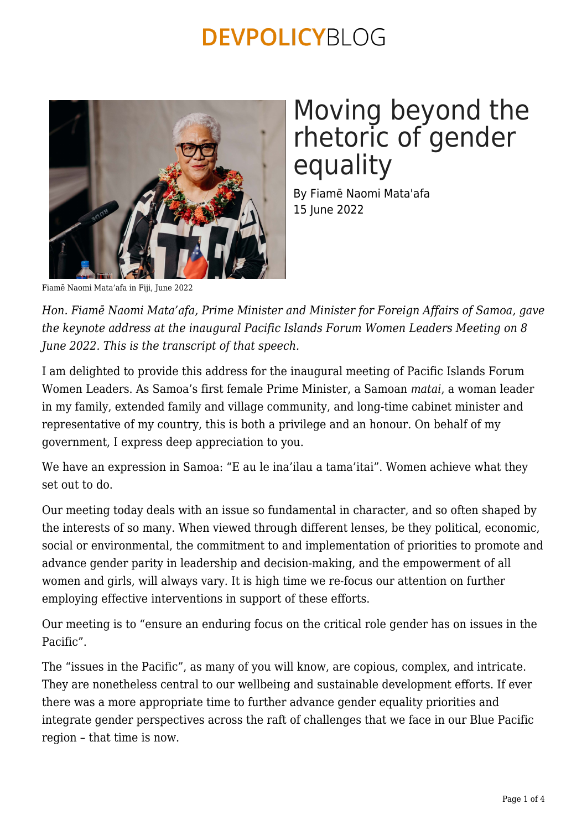

# Moving beyond the rhetoric of gender equality

By Fiamē Naomi Mata'afa 15 June 2022

Fiamē Naomi Mata'afa in Fiji, June 2022

*Hon. Fiamē Naomi Mata'afa, Prime Minister and Minister for Foreign Affairs of Samoa, gave the keynote address at the inaugural Pacific Islands Forum Women Leaders Meeting on 8 June 2022. This is the transcript of that speech.*

I am delighted to provide this address for the inaugural meeting of Pacific Islands Forum Women Leaders. As Samoa's first female Prime Minister, a Samoan *matai*, a woman leader in my family, extended family and village community, and long-time cabinet minister and representative of my country, this is both a privilege and an honour. On behalf of my government, I express deep appreciation to you.

We have an expression in Samoa: "E au le ina'ilau a tama'itai". Women achieve what they set out to do.

Our meeting today deals with an issue so fundamental in character, and so often shaped by the interests of so many. When viewed through different lenses, be they political, economic, social or environmental, the commitment to and implementation of priorities to promote and advance gender parity in leadership and decision-making, and the empowerment of all women and girls, will always vary. It is high time we re-focus our attention on further employing effective interventions in support of these efforts.

Our meeting is to "ensure an enduring focus on the critical role gender has on issues in the Pacific".

The "issues in the Pacific", as many of you will know, are copious, complex, and intricate. They are nonetheless central to our wellbeing and sustainable development efforts. If ever there was a more appropriate time to further advance gender equality priorities and integrate gender perspectives across the raft of challenges that we face in our Blue Pacific region – that time is now.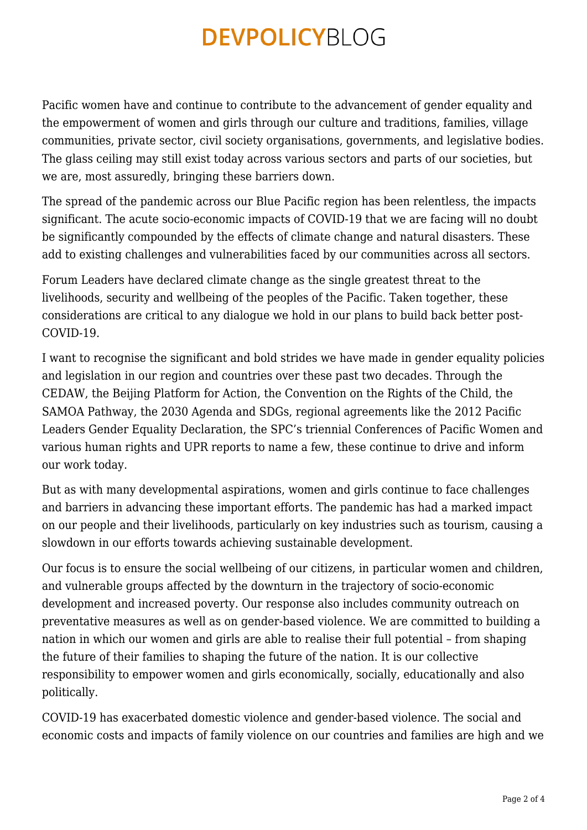Pacific women have and continue to contribute to the advancement of gender equality and the empowerment of women and girls through our culture and traditions, families, village communities, private sector, civil society organisations, governments, and legislative bodies. The glass ceiling may still exist today across various sectors and parts of our societies, but we are, most assuredly, bringing these barriers down.

The spread of the pandemic across our Blue Pacific region has been relentless, the impacts significant. The acute socio-economic impacts of COVID-19 that we are facing will no doubt be significantly compounded by the effects of climate change and natural disasters. These add to existing challenges and vulnerabilities faced by our communities across all sectors.

Forum Leaders have declared climate change as the single greatest threat to the livelihoods, security and wellbeing of the peoples of the Pacific. Taken together, these considerations are critical to any dialogue we hold in our plans to build back better post-COVID-19.

I want to recognise the significant and bold strides we have made in gender equality policies and legislation in our region and countries over these past two decades. Through the CEDAW, the Beijing Platform for Action, the Convention on the Rights of the Child, the SAMOA Pathway, the 2030 Agenda and SDGs, regional agreements like the 2012 Pacific Leaders Gender Equality Declaration, the SPC's triennial Conferences of Pacific Women and various human rights and UPR reports to name a few, these continue to drive and inform our work today.

But as with many developmental aspirations, women and girls continue to face challenges and barriers in advancing these important efforts. The pandemic has had a marked impact on our people and their livelihoods, particularly on key industries such as tourism, causing a slowdown in our efforts towards achieving sustainable development.

Our focus is to ensure the social wellbeing of our citizens, in particular women and children, and vulnerable groups affected by the downturn in the trajectory of socio-economic development and increased poverty. Our response also includes community outreach on preventative measures as well as on gender-based violence. We are committed to building a nation in which our women and girls are able to realise their full potential – from shaping the future of their families to shaping the future of the nation. It is our collective responsibility to empower women and girls economically, socially, educationally and also politically.

COVID-19 has exacerbated domestic violence and gender-based violence. The social and economic costs and impacts of family violence on our countries and families are high and we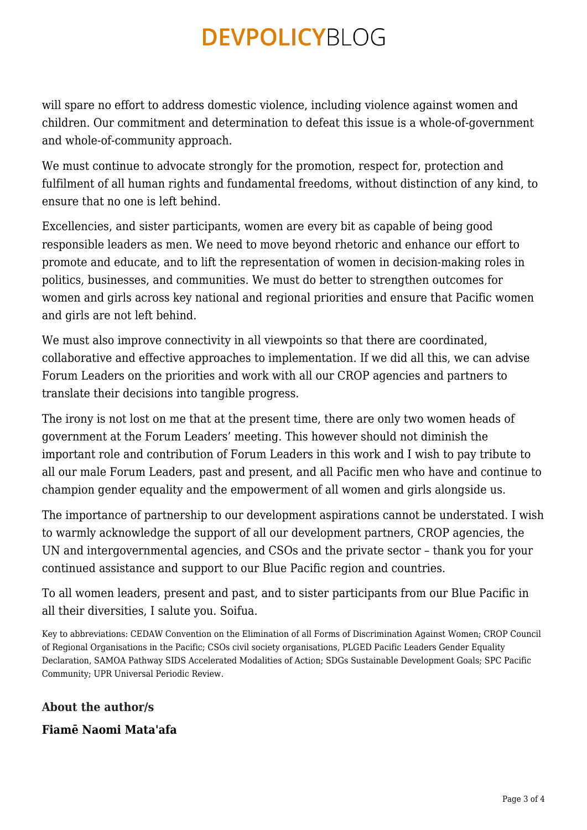will spare no effort to address domestic violence, including violence against women and children. Our commitment and determination to defeat this issue is a whole-of-government and whole-of-community approach.

We must continue to advocate strongly for the promotion, respect for, protection and fulfilment of all human rights and fundamental freedoms, without distinction of any kind, to ensure that no one is left behind.

Excellencies, and sister participants, women are every bit as capable of being good responsible leaders as men. We need to move beyond rhetoric and enhance our effort to promote and educate, and to lift the representation of women in decision-making roles in politics, businesses, and communities. We must do better to strengthen outcomes for women and girls across key national and regional priorities and ensure that Pacific women and girls are not left behind.

We must also improve connectivity in all viewpoints so that there are coordinated, collaborative and effective approaches to implementation. If we did all this, we can advise Forum Leaders on the priorities and work with all our CROP agencies and partners to translate their decisions into tangible progress.

The irony is not lost on me that at the present time, there are only two women heads of government at the Forum Leaders' meeting. This however should not diminish the important role and contribution of Forum Leaders in this work and I wish to pay tribute to all our male Forum Leaders, past and present, and all Pacific men who have and continue to champion gender equality and the empowerment of all women and girls alongside us.

The importance of partnership to our development aspirations cannot be understated. I wish to warmly acknowledge the support of all our development partners, CROP agencies, the UN and intergovernmental agencies, and CSOs and the private sector – thank you for your continued assistance and support to our Blue Pacific region and countries.

To all women leaders, present and past, and to sister participants from our Blue Pacific in all their diversities, I salute you. Soifua.

Key to abbreviations: CEDAW Convention on the Elimination of all Forms of Discrimination Against Women; CROP Council of Regional Organisations in the Pacific; CSOs civil society organisations, PLGED Pacific Leaders Gender Equality Declaration, SAMOA Pathway SIDS Accelerated Modalities of Action; SDGs Sustainable Development Goals; SPC Pacific Community; UPR Universal Periodic Review.

### **About the author/s**

### **Fiamē Naomi Mata'afa**